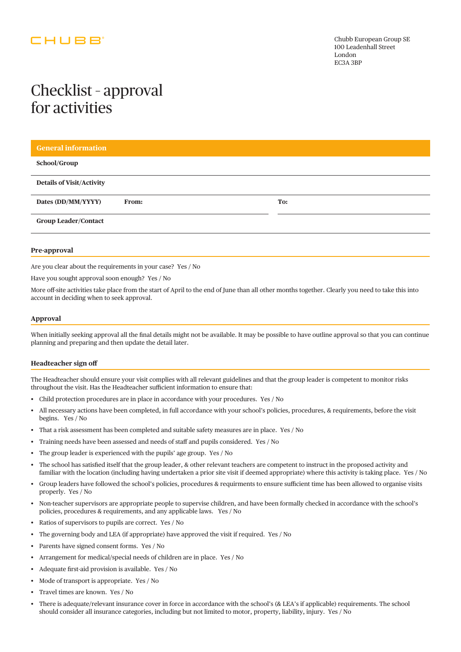## CHUBB

# Checklist – approval for activities

| <b>General information</b>       |       |     |
|----------------------------------|-------|-----|
| School/Group                     |       |     |
| <b>Details of Visit/Activity</b> |       |     |
| Dates (DD/MM/YYYY)               | From: | To: |
| <b>Group Leader/Contact</b>      |       |     |
|                                  |       |     |

### **Pre-approval**

Are you clear about the requirements in your case? Yes / No

Have you sought approval soon enough? Yes / No

More off-site activities take place from the start of April to the end of June than all other months together. Clearly you need to take this into account in deciding when to seek approval.

#### **Approval**

When initially seeking approval all the final details might not be available. It may be possible to have outline approval so that you can continue planning and preparing and then update the detail later.

#### **Headteacher sign off**

The Headteacher should ensure your visit complies with all relevant guidelines and that the group leader is competent to monitor risks throughout the visit. Has the Headteacher sufficient information to ensure that:

- Child protection procedures are in place in accordance with your procedures. Yes / No
- All necessary actions have been completed, in full accordance with your school's policies, procedures, & requirements, before the visit begins. Yes / No
- That a risk assessment has been completed and suitable safety measures are in place. Yes / No
- Training needs have been assessed and needs of staff and pupils considered. Yes / No
- The group leader is experienced with the pupils' age group. Yes / No
- The school has satisfied itself that the group leader, & other relevant teachers are competent to instruct in the proposed activity and familiar with the location (including having undertaken a prior site visit if deemed appropriate) where this activity is taking place. Yes / No
- Group leaders have followed the school's policies, procedures & requirments to ensure sufficient time has been allowed to organise visits properly. Yes / No
- Non-teacher supervisors are appropriate people to supervise children, and have been formally checked in accordance with the school's policies, procedures & requirements, and any applicable laws. Yes / No
- Ratios of supervisors to pupils are correct. Yes / No
- The governing body and LEA (if appropriate) have approved the visit if required. Yes / No
- Parents have signed consent forms. Yes / No
- Arrangement for medical/special needs of children are in place. Yes / No
- Adequate first-aid provision is available. Yes / No
- Mode of transport is appropriate. Yes / No
- Travel times are known. Yes / No
- There is adequate/relevant insurance cover in force in accordance with the school's (& LEA's if applicable) requirements. The school should consider all insurance categories, including but not limited to motor, property, liability, injury. Yes / No